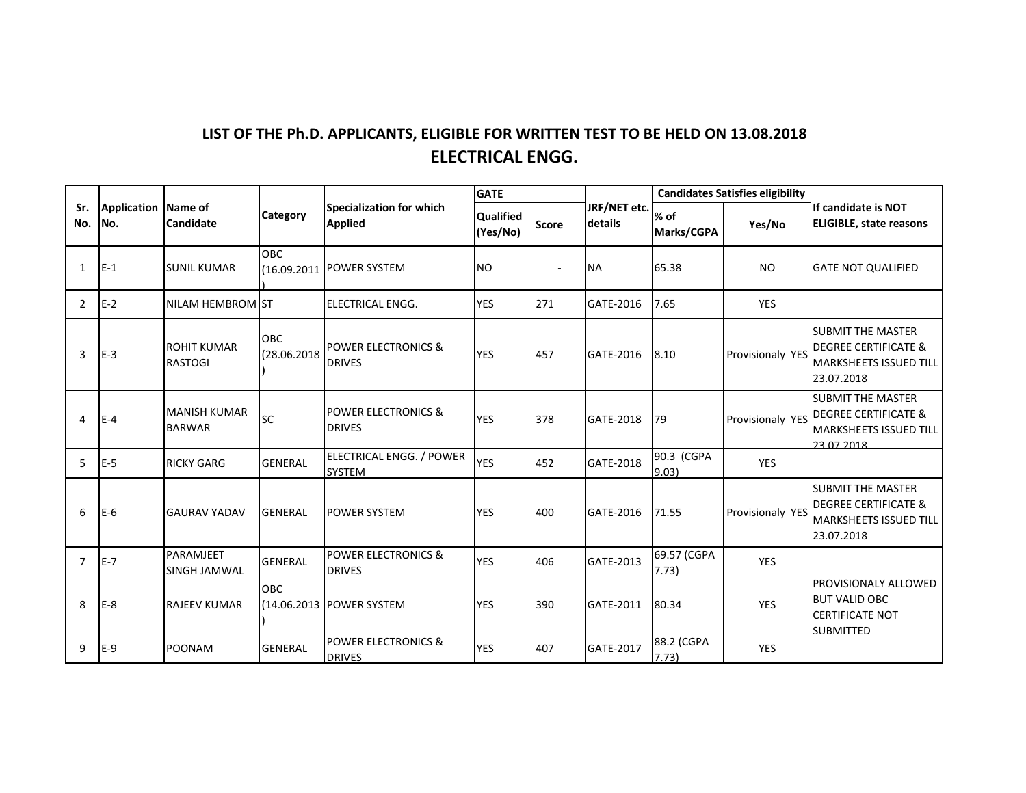## LIST OF THE Ph.D. APPLICANTS, ELIGIBLE FOR WRITTEN TEST TO BE HELD ON 13.08.2018 **ELECTRICAL ENGG.**

|                |                             | Candidate                            | Category           | Specialization for which<br><b>Applied</b>      | <b>GATE</b>                  |              |                         | <b>Candidates Satisfies eligibility</b> |                         |                                                                                                     |
|----------------|-----------------------------|--------------------------------------|--------------------|-------------------------------------------------|------------------------------|--------------|-------------------------|-----------------------------------------|-------------------------|-----------------------------------------------------------------------------------------------------|
| Sr.<br>No.     | Application Name of<br>INo. |                                      |                    |                                                 | <b>Qualified</b><br>(Yes/No) | <b>Score</b> | JRF/NET etc.<br>details | % of<br>Marks/CGPA                      | Yes/No                  | If candidate is NOT<br><b>ELIGIBLE, state reasons</b>                                               |
| $\mathbf{1}$   | $E-1$                       | <b>SUNIL KUMAR</b>                   | <b>OBC</b>         | (16.09.2011 POWER SYSTEM                        | <b>NO</b>                    |              | <b>NA</b>               | 65.38                                   | <b>NO</b>               | <b>GATE NOT QUALIFIED</b>                                                                           |
| 2              | $E-2$                       | NILAM HEMBROM ST                     |                    | ELECTRICAL ENGG.                                | <b>YES</b>                   | 271          | GATE-2016               | 7.65                                    | <b>YES</b>              |                                                                                                     |
| 3              | $E-3$                       | <b>ROHIT KUMAR</b><br><b>RASTOGI</b> | OBC<br>(28.06.2018 | <b>POWER ELECTRONICS &amp;</b><br><b>DRIVES</b> | <b>YES</b>                   | 457          | GATE-2016               | 8.10                                    | <b>Provisionaly YES</b> | <b>SUBMIT THE MASTER</b><br><b>DEGREE CERTIFICATE &amp;</b><br>MARKSHEETS ISSUED TILL<br>23.07.2018 |
| 4              | $E-4$                       | <b>MANISH KUMAR</b><br><b>BARWAR</b> | <b>SC</b>          | POWER ELECTRONICS &<br><b>DRIVES</b>            | <b>YES</b>                   | 378          | GATE-2018               | 79                                      | Provisionaly YES        | <b>SUBMIT THE MASTER</b><br><b>DEGREE CERTIFICATE &amp;</b><br>MARKSHEETS ISSUED TILL<br>23.07.2018 |
| 5              | IE-5                        | <b>RICKY GARG</b>                    | <b>GENERAL</b>     | ELECTRICAL ENGG. / POWER<br><b>SYSTEM</b>       | <b>YES</b>                   | 452          | GATE-2018               | 90.3 (CGPA<br>9.03                      | <b>YES</b>              |                                                                                                     |
| 6              | $E-6$                       | <b>GAURAV YADAV</b>                  | <b>GENERAL</b>     | <b>POWER SYSTEM</b>                             | <b>YES</b>                   | 400          | GATE-2016               | 71.55                                   | Provisionaly YES        | <b>SUBMIT THE MASTER</b><br><b>DEGREE CERTIFICATE &amp;</b><br>MARKSHEETS ISSUED TILL<br>23.07.2018 |
| $\overline{7}$ | $E-7$                       | PARAMJEET<br>SINGH JAMWAL            | <b>GENERAL</b>     | <b>POWER ELECTRONICS &amp;</b><br><b>DRIVES</b> | <b>YES</b>                   | 406          | GATE-2013               | 69.57 (CGPA<br>7.73)                    | <b>YES</b>              |                                                                                                     |
| 8              | $E-8$                       | <b>RAJEEV KUMAR</b>                  | <b>OBC</b>         | (14.06.2013   POWER SYSTEM                      | <b>YES</b>                   | 390          | GATE-2011               | 80.34                                   | <b>YES</b>              | <b>PROVISIONALY ALLOWED</b><br><b>BUT VALID OBC</b><br><b>CERTIFICATE NOT</b><br><b>SLIRMITTED</b>  |
| 9              | $E-9$                       | <b>POONAM</b>                        | <b>GENERAL</b>     | <b>POWER ELECTRONICS &amp;</b><br><b>DRIVES</b> | <b>YES</b>                   | 407          | GATE-2017               | 88.2 (CGPA<br>7.73)                     | <b>YES</b>              |                                                                                                     |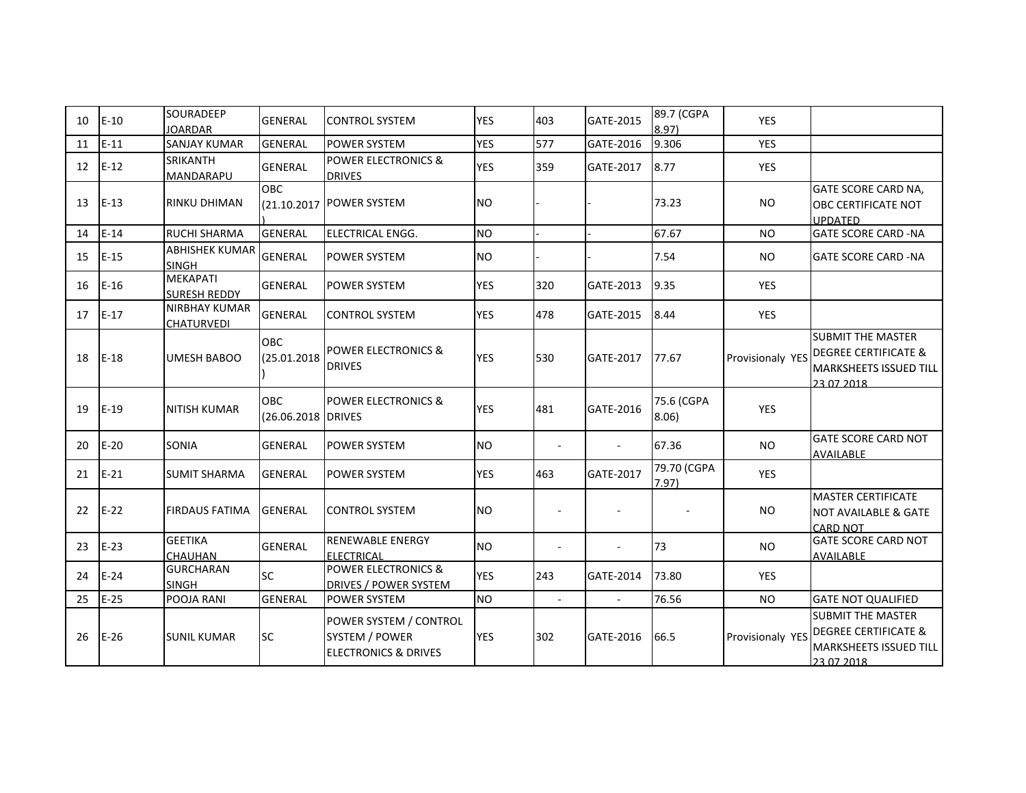| 10 | $E-10$ | SOURADEEP<br><b>JOARDAR</b>               | <b>GENERAL</b>                   | ICONTROL SYSTEM                                                                    | <b>YES</b> | 403                      | GATE-2015 | 89.7 (CGPA<br>8.97) | <b>YES</b>       |                                                                                                            |
|----|--------|-------------------------------------------|----------------------------------|------------------------------------------------------------------------------------|------------|--------------------------|-----------|---------------------|------------------|------------------------------------------------------------------------------------------------------------|
| 11 | $E-11$ | <b>SANJAY KUMAR</b>                       | <b>GENERAL</b>                   | <b>POWER SYSTEM</b>                                                                | <b>YES</b> | 577                      | GATE-2016 | 9.306               | YES              |                                                                                                            |
| 12 | $E-12$ | <b>SRIKANTH</b><br>MANDARAPU              | <b>GENERAL</b>                   | <b>POWER ELECTRONICS &amp;</b><br><b>DRIVES</b>                                    | <b>YES</b> | 359                      | GATE-2017 | 8.77                | <b>YES</b>       |                                                                                                            |
| 13 | $E-13$ | IRINKU DHIMAN                             | <b>OBC</b>                       | (21.10.2017 POWER SYSTEM                                                           | <b>NO</b>  |                          |           | 73.23               | <b>NO</b>        | GATE SCORE CARD NA,<br>OBC CERTIFICATE NOT<br><b>UPDATED</b>                                               |
| 14 | $E-14$ | <b>RUCHI SHARMA</b>                       | <b>GENERAL</b>                   | <b>ELECTRICAL ENGG.</b>                                                            | <b>NO</b>  |                          |           | 67.67               | <b>NO</b>        | <b>GATE SCORE CARD -NA</b>                                                                                 |
| 15 | $E-15$ | <b>ABHISHEK KUMAR</b><br><b>SINGH</b>     | <b>GENERAL</b>                   | <b>POWER SYSTEM</b>                                                                | <b>NO</b>  |                          |           | 7.54                | NO.              | <b>GATE SCORE CARD -NA</b>                                                                                 |
| 16 | $E-16$ | MEKAPATI<br><b>SURESH REDDY</b>           | <b>GENERAL</b>                   | <b>POWER SYSTEM</b>                                                                | <b>YES</b> | 320                      | GATE-2013 | 9.35                | <b>YES</b>       |                                                                                                            |
| 17 | $E-17$ | <b>NIRBHAY KUMAR</b><br><b>CHATURVEDI</b> | GENERAL                          | <b>CONTROL SYSTEM</b>                                                              | <b>YES</b> | 478                      | GATE-2015 | 8.44                | <b>YES</b>       |                                                                                                            |
| 18 | $E-18$ | <b>UMESH BABOO</b>                        | OBC<br>(25.01.2018               | <b>POWER ELECTRONICS &amp;</b><br><b>DRIVES</b>                                    | <b>YES</b> | 530                      | GATE-2017 | 77.67               | Provisionaly YES | <b>SUBMIT THE MASTER</b><br><b>DEGREE CERTIFICATE &amp;</b><br><b>MARKSHEETS ISSUED TILL</b><br>23.07.2018 |
| 19 | $E-19$ | <b>NITISH KUMAR</b>                       | <b>OBC</b><br>(26.06.2018 DRIVES | <b>POWER ELECTRONICS &amp;</b>                                                     | <b>YES</b> | 481                      | GATE-2016 | 75.6 (CGPA<br>8.06) | <b>YES</b>       |                                                                                                            |
| 20 | $E-20$ | SONIA                                     | <b>GENERAL</b>                   | <b>POWER SYSTEM</b>                                                                | <b>NO</b>  |                          |           | 67.36               | <b>NO</b>        | <b>GATE SCORE CARD NOT</b><br>AVAILABLE                                                                    |
| 21 | $E-21$ | <b>SUMIT SHARMA</b>                       | <b>GENERAL</b>                   | <b>POWER SYSTEM</b>                                                                | <b>YES</b> | 463                      | GATE-2017 | 79.70 (CGPA<br>7.97 | YES              |                                                                                                            |
| 22 | $E-22$ | <b>FIRDAUS FATIMA</b>                     | <b>GENERAL</b>                   | <b>CONTROL SYSTEM</b>                                                              | <b>NO</b>  |                          |           |                     | <b>NO</b>        | <b>MASTER CERTIFICATE</b><br><b>NOT AVAILABLE &amp; GATE</b><br><b>CARD NOT</b>                            |
| 23 | $E-23$ | <b>GEETIKA</b><br>CHAUHAN                 | <b>GENERAL</b>                   | <b>RENEWABLE ENERGY</b><br><b>ELECTRICAL</b>                                       | <b>NO</b>  | $\blacksquare$           |           | 73                  | <b>NO</b>        | <b>GATE SCORE CARD NOT</b><br>AVAILABLE                                                                    |
| 24 | $E-24$ | <b>GURCHARAN</b><br><b>SINGH</b>          | <b>SC</b>                        | <b>POWER ELECTRONICS &amp;</b><br><b>DRIVES / POWER SYSTEM</b>                     | <b>YES</b> | 243                      | GATE-2014 | 73.80               | YES              |                                                                                                            |
| 25 | $E-25$ | POOJA RANI                                | <b>GENERAL</b>                   | POWER SYSTEM                                                                       | <b>NO</b>  | $\overline{\phantom{a}}$ |           | 76.56               | <b>NO</b>        | <b>GATE NOT QUALIFIED</b>                                                                                  |
| 26 | $E-26$ | <b>SUNIL KUMAR</b>                        | <b>SC</b>                        | POWER SYSTEM / CONTROL<br><b>SYSTEM / POWER</b><br><b>ELECTRONICS &amp; DRIVES</b> | <b>YES</b> | 302                      | GATE-2016 | 66.5                | Provisionaly YES | <b>SUBMIT THE MASTER</b><br><b>DEGREE CERTIFICATE &amp;</b><br>MARKSHEETS ISSUED TILL<br>23.07.2018        |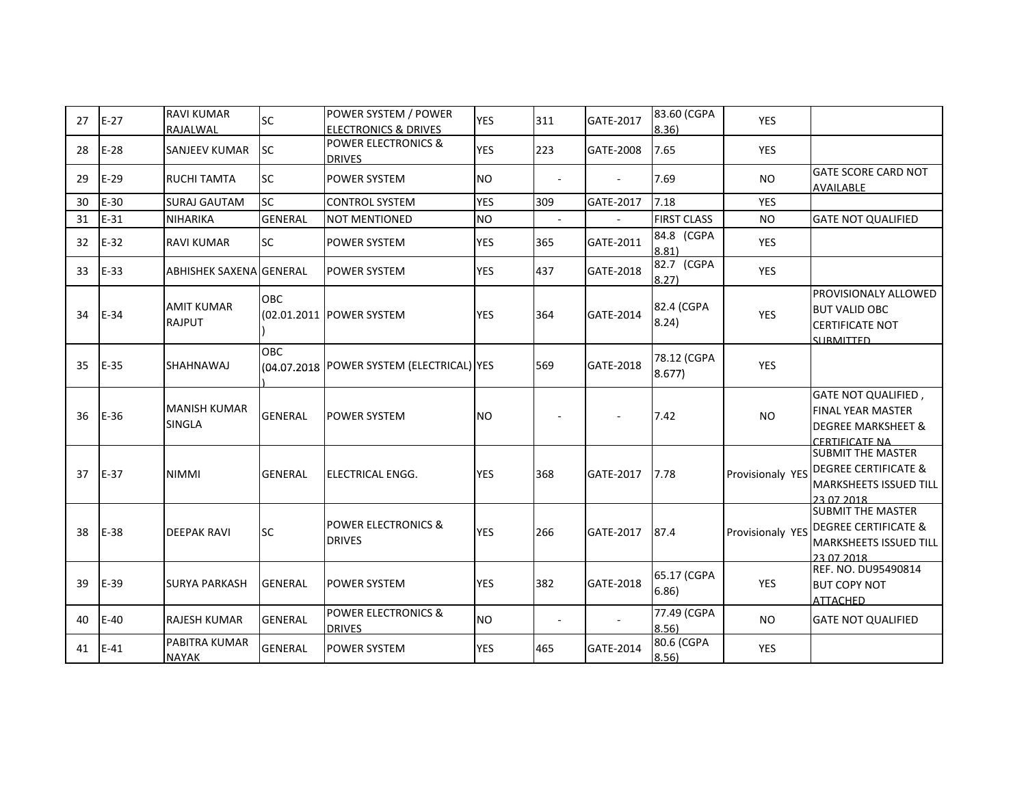| 27 | $E-27$ | <b>RAVI KUMAR</b><br>RAJALWAL        | <b>SC</b>      | POWER SYSTEM / POWER<br><b>ELECTRONICS &amp; DRIVES</b> | <b>YES</b> | 311                      | GATE-2017 | 83.60 (CGPA<br>8.36   | YES              |                                                                                                           |
|----|--------|--------------------------------------|----------------|---------------------------------------------------------|------------|--------------------------|-----------|-----------------------|------------------|-----------------------------------------------------------------------------------------------------------|
| 28 | $E-28$ | <b>SANJEEV KUMAR</b>                 | <b>SC</b>      | <b>POWER ELECTRONICS &amp;</b><br><b>DRIVES</b>         | <b>YES</b> | 223                      | GATE-2008 | 7.65                  | YES              |                                                                                                           |
| 29 | $E-29$ | <b>RUCHI TAMTA</b>                   | <b>SC</b>      | POWER SYSTEM                                            | <b>NO</b>  |                          |           | 7.69                  | <b>NO</b>        | <b>GATE SCORE CARD NOT</b><br><b>AVAILABLE</b>                                                            |
| 30 | $E-30$ | <b>SURAJ GAUTAM</b>                  | <b>SC</b>      | <b>CONTROL SYSTEM</b>                                   | <b>YES</b> | 309                      | GATE-2017 | 7.18                  | <b>YES</b>       |                                                                                                           |
| 31 | $E-31$ | <b>NIHARIKA</b>                      | <b>GENERAL</b> | <b>NOT MENTIONED</b>                                    | <b>NO</b>  | $\overline{\phantom{a}}$ |           | <b>FIRST CLASS</b>    | <b>NO</b>        | <b>GATE NOT QUALIFIED</b>                                                                                 |
| 32 | $E-32$ | <b>RAVI KUMAR</b>                    | <b>SC</b>      | POWER SYSTEM                                            | <b>YES</b> | 365                      | GATE-2011 | 84.8 (CGPA<br>8.81)   | YES              |                                                                                                           |
| 33 | $E-33$ | <b>ABHISHEK SAXENA GENERAL</b>       |                | <b>POWER SYSTEM</b>                                     | <b>YES</b> | 437                      | GATE-2018 | 82.7 (CGPA<br>8.27)   | <b>YES</b>       |                                                                                                           |
| 34 | $E-34$ | <b>AMIT KUMAR</b><br><b>RAJPUT</b>   | <b>OBC</b>     | (02.01.2011 POWER SYSTEM                                | <b>YES</b> | 364                      | GATE-2014 | 82.4 (CGPA<br>8.24)   | YES              | PROVISIONALY ALLOWED<br><b>BUT VALID OBC</b><br><b>CERTIFICATE NOT</b><br><b>SURMITTED</b>                |
| 35 | E-35   | <b>SHAHNAWAJ</b>                     | <b>OBC</b>     | (04.07.2018 POWER SYSTEM (ELECTRICAL) YES               |            | 569                      | GATE-2018 | 78.12 (CGPA<br>8.677) | <b>YES</b>       |                                                                                                           |
| 36 | $E-36$ | <b>MANISH KUMAR</b><br><b>SINGLA</b> | <b>GENERAL</b> | <b>POWER SYSTEM</b>                                     | <b>NO</b>  |                          |           | 7.42                  | <b>NO</b>        | <b>GATE NOT QUALIFIED,</b><br><b>FINAL YEAR MASTER</b><br><b>DEGREE MARKSHEET &amp;</b><br>CERTIFICATE NA |
| 37 | $E-37$ | <b>NIMMI</b>                         | <b>GENERAL</b> | <b>ELECTRICAL ENGG.</b>                                 | <b>YES</b> | 368                      | GATE-2017 | 7.78                  | Provisionaly YES | <b>SUBMIT THE MASTER</b><br><b>DEGREE CERTIFICATE &amp;</b><br>MARKSHEETS ISSUED TILL<br>23.07.2018       |
| 38 | $E-38$ | <b>DEEPAK RAVI</b>                   | <b>SC</b>      | <b>POWER ELECTRONICS &amp;</b><br><b>DRIVES</b>         | <b>YES</b> | 266                      | GATE-2017 | 87.4                  | Provisionaly YES | <b>SUBMIT THE MASTER</b><br><b>DEGREE CERTIFICATE &amp;</b><br>MARKSHEETS ISSUED TILL<br>23.07.2018       |
| 39 | $E-39$ | <b>SURYA PARKASH</b>                 | <b>GENERAL</b> | <b>POWER SYSTEM</b>                                     | <b>YES</b> | 382                      | GATE-2018 | 65.17 (CGPA<br>6.86)  | YES              | REF. NO. DU95490814<br><b>BUT COPY NOT</b><br><b>ATTACHED</b>                                             |
| 40 | $E-40$ | <b>RAJESH KUMAR</b>                  | <b>GENERAL</b> | <b>POWER ELECTRONICS &amp;</b><br><b>DRIVES</b>         | <b>NO</b>  | $\sim$                   |           | 77.49 (CGPA<br>8.56   | <b>NO</b>        | <b>GATE NOT QUALIFIED</b>                                                                                 |
| 41 | $E-41$ | PABITRA KUMAR<br><b>NAYAK</b>        | <b>GENERAL</b> | <b>POWER SYSTEM</b>                                     | <b>YES</b> | 465                      | GATE-2014 | 80.6 (CGPA<br>8.56    | YES              |                                                                                                           |